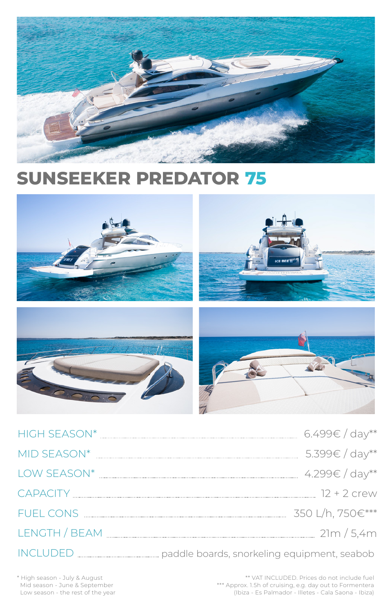

# **SUNSEEKER PREDATOR 75**



HIGH SEASON\* 6.499€ / day\*\* MID SEASON\* 5.399€ / day\*\* 





CAPACITY 12 + 2 crew

FUEL CONS 350 L/h, 750€\*\*\*

LENGTH / BEAM 21m / 5,4m

INCLUDED paddle boards, snorkeling equipment, seabob

\*\* VAT INCLUDED. Prices do not include fuel \*\*\* Approx. 1.5h of cruising, e.g. day out to Formentera (Ibiza - Es Palmador - Illetes - Cala Saona - Ibiza)

\* High season - July & August Mid season - June & September Low season - the rest of the year